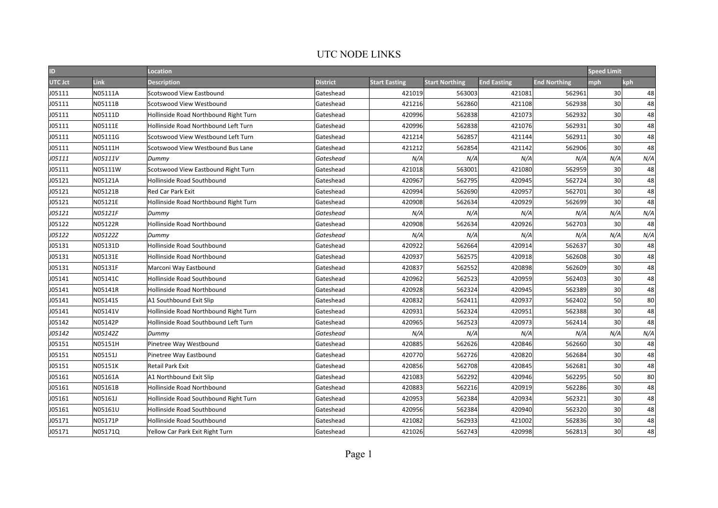| ID      |         | Location                              |                 |                      |                       |                    |                     | <b>Speed Limit</b> |     |
|---------|---------|---------------------------------------|-----------------|----------------------|-----------------------|--------------------|---------------------|--------------------|-----|
| UTC Jct | Link    | Description                           | <b>District</b> | <b>Start Easting</b> | <b>Start Northing</b> | <b>End Easting</b> | <b>End Northing</b> | mph                | kph |
| J05111  | N05111A | Scotswood View Eastbound              | Gateshead       | 421019               | 563003                | 421081             | 562961              | 30                 | 48  |
| J05111  | N05111B | Scotswood View Westbound              | Gateshead       | 421216               | 562860                | 421108             | 562938              | 30                 | 48  |
| J05111  | N05111D | Hollinside Road Northbound Right Turn | Gateshead       | 420996               | 562838                | 421073             | 562932              | 30                 | 48  |
| J05111  | N05111E | Hollinside Road Northbound Left Turn  | Gateshead       | 420996               | 562838                | 421076             | 562931              | 30                 | 48  |
| J05111  | N05111G | Scotswood View Westbound Left Turn    | Gateshead       | 421214               | 562857                | 421144             | 562911              | 30                 | 48  |
| J05111  | N05111H | Scotswood View Westbound Bus Lane     | Gateshead       | 421212               | 562854                | 421142             | 562906              | 30                 | 48  |
| J05111  | N05111V | Dummy                                 | Gateshead       | N/A                  | N/A                   | N/A                | N/A                 | N/A                | N/A |
| J05111  | N05111W | Scotswood View Eastbound Right Turn   | Gateshead       | 421018               | 563001                | 421080             | 562959              | 30                 | 48  |
| J05121  | N05121A | Hollinside Road Southbound            | Gateshead       | 420967               | 562795                | 420945             | 562724              | 30                 | 48  |
| J05121  | N05121B | <b>Red Car Park Exit</b>              | Gateshead       | 420994               | 562690                | 420957             | 562701              | 30 <sup>1</sup>    | 48  |
| J05121  | N05121E | Hollinside Road Northbound Right Turn | Gateshead       | 420908               | 562634                | 420929             | 562699              | 30                 | 48  |
| J05121  | N05121F | Dummy                                 | Gateshead       | N/A                  | N/A                   | N/A                | N/A                 | N/A                | N/A |
| J05122  | N05122R | Hollinside Road Northbound            | Gateshead       | 420908               | 562634                | 420926             | 562703              | 30 <sup>1</sup>    | 48  |
| J05122  | N05122Z | Dummv                                 | Gateshead       | N/A                  | N/A                   | N/A                | N/A                 | N/A                | N/A |
| J05131  | N05131D | Hollinside Road Southbound            | Gateshead       | 420922               | 562664                | 420914             | 562637              | 30                 | 48  |
| J05131  | N05131E | Hollinside Road Northbound            | Gateshead       | 420937               | 562575                | 420918             | 562608              | 30                 | 48  |
| J05131  | N05131F | Marconi Way Eastbound                 | Gateshead       | 420837               | 562552                | 420898             | 562609              | 30                 | 48  |
| J05141  | N05141C | Hollinside Road Southbound            | Gateshead       | 420962               | 562523                | 420959             | 562403              | 30 <sup>2</sup>    | 48  |
| J05141  | N05141R | Hollinside Road Northbound            | Gateshead       | 420928               | 562324                | 420945             | 562389              | 30                 | 48  |
| J05141  | N05141S | A1 Southbound Exit Slip               | Gateshead       | 420832               | 562411                | 420937             | 562402              | 50                 | 80  |
| J05141  | N05141V | Hollinside Road Northbound Right Turn | Gateshead       | 420931               | 562324                | 420951             | 562388              | 30                 | 48  |
| J05142  | N05142P | Hollinside Road Southbound Left Turn  | Gateshead       | 420965               | 562523                | 420973             | 562414              | 30                 | 48  |
| J05142  | N05142Z | Dummy                                 | Gateshead       | N/A                  | N/A                   | N/A                | N/A                 | N/A                | N/A |
| J05151  | N05151H | Pinetree Way Westbound                | Gateshead       | 420885               | 562626                | 420846             | 562660              | 30                 | 48  |
| J05151  | N05151J | Pinetree Way Eastbound                | Gateshead       | 420770               | 562726                | 420820             | 562684              | 30                 | 48  |
| J05151  | N05151K | <b>Retail Park Exit</b>               | Gateshead       | 420856               | 562708                | 420845             | 562681              | 30                 | 48  |
| J05161  | N05161A | A1 Northbound Exit Slip               | Gateshead       | 421083               | 562292                | 420946             | 562295              | 50                 | 80  |
| J05161  | N05161B | Hollinside Road Northbound            | Gateshead       | 420883               | 562216                | 420919             | 562286              | 30                 | 48  |
| J05161  | N05161J | Hollinside Road Southbound Right Turn | Gateshead       | 420953               | 562384                | 420934             | 562321              | 30                 | 48  |
| J05161  | N05161U | Hollinside Road Southbound            | Gateshead       | 420956               | 562384                | 420940             | 562320              | 30                 | 48  |
| J05171  | N05171P | Hollinside Road Southbound            | Gateshead       | 421082               | 562933                | 421002             | 562836              | 30                 | 48  |
| J05171  | N05171Q | Yellow Car Park Exit Right Turn       | Gateshead       | 421026               | 562743                | 420998             | 562813              | 30 <sup>2</sup>    | 48  |

## UTC NODE LINKS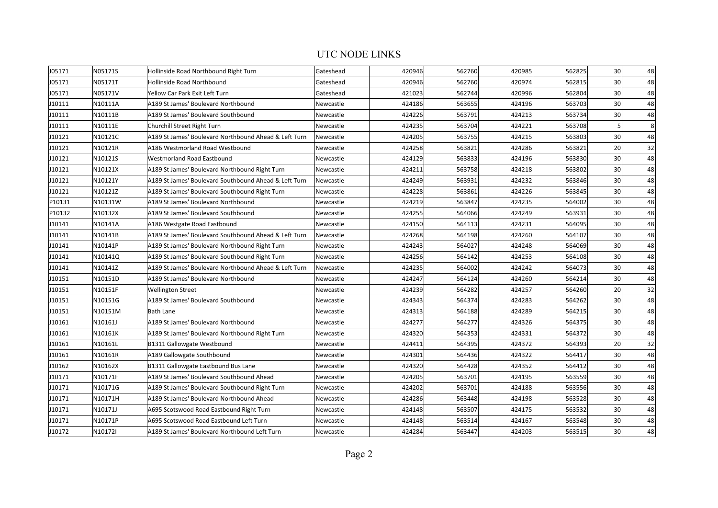## UTC NODE LINKS

| J05171 | N05171S | Hollinside Road Northbound Right Turn                 | Gateshead | 420946 | 562760 | 420985 | 562825 | 30 <sup>1</sup> | 48 |
|--------|---------|-------------------------------------------------------|-----------|--------|--------|--------|--------|-----------------|----|
| J05171 | N05171T | Hollinside Road Northbound                            | Gateshead | 420946 | 562760 | 420974 | 562815 | 30 <sup>1</sup> | 48 |
| J05171 | N05171V | Yellow Car Park Exit Left Turn                        | Gateshead | 421023 | 562744 | 420996 | 562804 | 30 <sup>2</sup> | 48 |
| J10111 | N10111A | A189 St James' Boulevard Northbound                   | Newcastle | 424186 | 563655 | 424196 | 563703 | 30 <sup>2</sup> | 48 |
| J10111 | N10111B | A189 St James' Boulevard Southbound                   | Newcastle | 424226 | 563791 | 424213 | 563734 | 30 <sup>2</sup> | 48 |
| J10111 | N10111E | Churchill Street Right Turn                           | Newcastle | 424235 | 563704 | 424221 | 563708 | 5               | 8  |
| J10121 | N10121C | A189 St James' Boulevard Northbound Ahead & Left Turn | Newcastle | 424205 | 563755 | 424215 | 563803 | 30              | 48 |
| J10121 | N10121R | A186 Westmorland Road Westbound                       | Newcastle | 424258 | 563821 | 424286 | 563821 | 20              | 32 |
| J10121 | N10121S | <b>Westmorland Road Eastbound</b>                     | Newcastle | 424129 | 563833 | 424196 | 563830 | 30              | 48 |
| J10121 | N10121X | A189 St James' Boulevard Northbound Right Turn        | Newcastle | 424211 | 563758 | 424218 | 563802 | 30 <sup>2</sup> | 48 |
| J10121 | N10121Y | A189 St James' Boulevard Southbound Ahead & Left Turn | Newcastle | 424249 | 563931 | 424232 | 563846 | 30 <sup>1</sup> | 48 |
| J10121 | N10121Z | A189 St James' Boulevard Southbound Right Turn        | Newcastle | 424228 | 563861 | 424226 | 563845 | 30 <sup>1</sup> | 48 |
| P10131 | N10131W | A189 St James' Boulevard Northbound                   | Newcastle | 424219 | 563847 | 424235 | 564002 | 30 <sup>2</sup> | 48 |
| P10132 | N10132X | A189 St James' Boulevard Southbound                   | Newcastle | 424255 | 564066 | 424249 | 563931 | 30 <sup>2</sup> | 48 |
| J10141 | N10141A | A186 Westgate Road Eastbound                          | Newcastle | 424150 | 564113 | 424231 | 564095 | 30              | 48 |
| J10141 | N10141B | A189 St James' Boulevard Southbound Ahead & Left Turn | Newcastle | 424268 | 564198 | 424260 | 564107 | 30              | 48 |
| J10141 | N10141P | A189 St James' Boulevard Northbound Right Turn        | Newcastle | 424243 | 564027 | 424248 | 564069 | 30              | 48 |
| J10141 | N10141Q | A189 St James' Boulevard Southbound Right Turn        | Newcastle | 424256 | 564142 | 424253 | 564108 | 30 <sup>2</sup> | 48 |
| J10141 | N10141Z | A189 St James' Boulevard Northbound Ahead & Left Turn | Newcastle | 424235 | 564002 | 424242 | 564073 | 30 <sup>2</sup> | 48 |
| J10151 | N10151D | A189 St James' Boulevard Northbound                   | Newcastle | 424247 | 564124 | 424260 | 564214 | 30 <sup>2</sup> | 48 |
| J10151 | N10151F | <b>Wellington Street</b>                              | Newcastle | 424239 | 564282 | 424257 | 564260 | 20 <sup>2</sup> | 32 |
| J10151 | N10151G | A189 St James' Boulevard Southbound                   | Newcastle | 424343 | 564374 | 424283 | 564262 | 30 <sup>1</sup> | 48 |
| J10151 | N10151M | <b>Bath Lane</b>                                      | Newcastle | 424313 | 564188 | 424289 | 564215 | 30              | 48 |
| J10161 | N10161J | A189 St James' Boulevard Northbound                   | Newcastle | 424277 | 564277 | 424326 | 564375 | 30              | 48 |
| J10161 | N10161K | A189 St James' Boulevard Northbound Right Turn        | Newcastle | 424320 | 564353 | 424331 | 564372 | 30              | 48 |
| J10161 | N10161L | B1311 Gallowgate Westbound                            | Newcastle | 424411 | 564395 | 424372 | 564393 | 20              | 32 |
| J10161 | N10161R | A189 Gallowgate Southbound                            | Newcastle | 424301 | 564436 | 424322 | 564417 | 30 <sup>1</sup> | 48 |
| J10162 | N10162X | B1311 Gallowgate Eastbound Bus Lane                   | Newcastle | 424320 | 564428 | 424352 | 564412 | 30 <sup>2</sup> | 48 |
| J10171 | N10171F | A189 St James' Boulevard Southbound Ahead             | Newcastle | 424205 | 563701 | 424195 | 563559 | 30 <sup>2</sup> | 48 |
| J10171 | N10171G | A189 St James' Boulevard Southbound Right Turn        | Newcastle | 424202 | 563701 | 424188 | 563556 | 30 <sup>2</sup> | 48 |
| J10171 | N10171H | A189 St James' Boulevard Northbound Ahead             | Newcastle | 424286 | 563448 | 424198 | 563528 | 30 <sup>2</sup> | 48 |
| J10171 | N10171J | A695 Scotswood Road Eastbound Right Turn              | Newcastle | 424148 | 563507 | 424175 | 563532 | 30 <sup>2</sup> | 48 |
| J10171 | N10171P | A695 Scotswood Road Eastbound Left Turn               | Newcastle | 424148 | 563514 | 424167 | 563548 | 30              | 48 |
| J10172 | N10172I | A189 St James' Boulevard Northbound Left Turn         | Newcastle | 424284 | 563447 | 424203 | 563515 | 30 <sup>2</sup> | 48 |